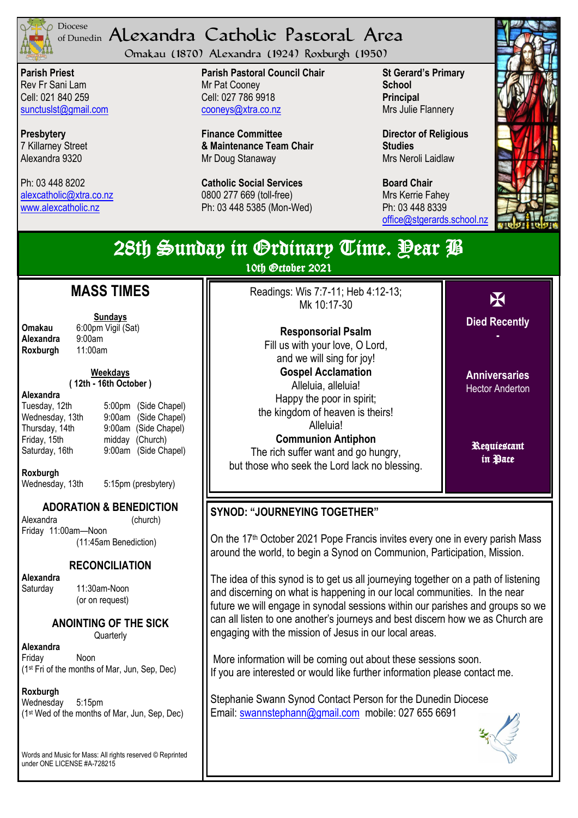

## <sup>Diocese</sup> Alexandra Catholic Pastoral Area of Dunedin

Omakau (1870) Alexandra (1924) Roxburgh (1950)

**Parish Priest** Rev Fr Sani Lam Cell: 021 840 259 [sunctuslst@gmail.com](mailto:mailto:sunctuslst@gmail.com)

**Presbytery** 7 Killarney Street Alexandra 9320

Ph: 03 448 8202 [alexcatholic@xtra.co.nz](mailto:mailto:alexcatholic@xtra.co.nz) www.alexcatholic.nz

**Parish Pastoral Council Chair** Mr Pat Cooney Cell: 027 786 9918 cooneys@xtra.co.nz

**Finance Committee & Maintenance Team Chair** Mr Doug Stanaway

**Catholic Social Services**  0800 277 669 (toll-free) Ph: 03 448 5385 (Mon-Wed) **St Gerard's Primary School Principal** Mrs Julie Flannery

**Director of Religious Studies** Mrs Neroli Laidlaw

**Board Chair** Mrs Kerrie Fahey Ph: 03 448 8339 [office@stgerards.school.nz](mailto:mailto:office@stgerards.school.nz)



| 28th Sunday in Grdinary Time. Pear P<br>10th October 2021                                                                                                                                 |                                                                                                                                                                                  |  |
|-------------------------------------------------------------------------------------------------------------------------------------------------------------------------------------------|----------------------------------------------------------------------------------------------------------------------------------------------------------------------------------|--|
| <b>MASS TIMES</b><br><b>Sundays</b><br>Omakau<br>6:00pm Vigil (Sat)<br>Alexandra<br>9:00am<br>11:00am<br>Roxburgh                                                                         | Readings: Wis 7:7-11; Heb 4:12-13;<br>X<br>Mk 10:17-30<br><b>Died Recently</b><br><b>Responsorial Psalm</b><br>Fill us with your love, O Lord,<br>and we will sing for joy!      |  |
| <b>Weekdays</b><br>(12th - 16th October)<br>Alexandra<br>5:00pm (Side Chapel)<br>Tuesday, 12th<br>Wednesday, 13th<br>(Side Chapel)<br>$9:00$ am<br>9:00am (Side Chapel)<br>Thursday, 14th | <b>Gospel Acclamation</b><br><b>Anniversaries</b><br>Alleluia, alleluia!<br><b>Hector Anderton</b><br>Happy the poor in spirit;<br>the kingdom of heaven is theirs!<br>Alleluia! |  |
| Friday, 15th<br>midday (Church)<br>Saturday, 16th<br>9:00am (Side Chapel)<br>Roxburgh<br>5:15pm (presbytery)<br>Wednesday, 13th                                                           | <b>Communion Antiphon</b><br>Requiestant<br>The rich suffer want and go hungry,<br>in Pace<br>but those who seek the Lord lack no blessing.                                      |  |
| <b>ADORATION &amp; BENEDICTION</b><br>Alexandra<br>(church)<br>Friday 11:00am-Noon<br>(11:45am Benediction)                                                                               | <b>SYNOD: "JOURNEYING TOGETHER"</b><br>On the 17 <sup>th</sup> October 2021 Pope Francis invites every one in every parish Mass                                                  |  |

## **RECONCILIATION**

**Alexandra** 

Saturday 11:30am-Noon (or on request)

**ANOINTING OF THE SICK**

**Quarterly** 

**Alexandra** Friday Noon (1st Fri of the months of Mar, Jun, Sep, Dec)

**Roxburgh**

Wednesday 5:15pm (1st Wed of the months of Mar, Jun, Sep, Dec)

Words and Music for Mass: All rights reserved © Reprinted under ONE LICENSE #A-728215

On the 17th October 2021 Pope Francis invites every one in every parish Mass around the world, to begin a Synod on Communion, Participation, Mission.

The idea of this synod is to get us all journeying together on a path of listening and discerning on what is happening in our local communities. In the near future we will engage in synodal sessions within our parishes and groups so we can all listen to one another's journeys and best discern how we as Church are engaging with the mission of Jesus in our local areas.

More information will be coming out about these sessions soon. If you are interested or would like further information please contact me.

Stephanie Swann Synod Contact Person for the Dunedin Diocese Email: [swannstephann@gmail.com](mailto:swannstephann@gmail.com) mobile: 027 655 6691